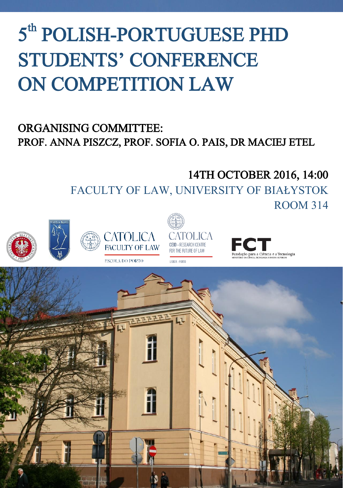# 5<sup>th</sup> POLISH-PORTUGUESE PHD STUDENTS' CONFERENCE ON COMPETITION LAW

## ORGANISING COMMITTEE: PROF. ANNA PISZCZ, PROF. SOFIA O. PAIS, DR MACIEJ ETEL

# 14TH OCTOBER 2016, 14:00

FACULTY OF LAW, UNIVERSITY OF BIAŁYSTOK









ROOM 314